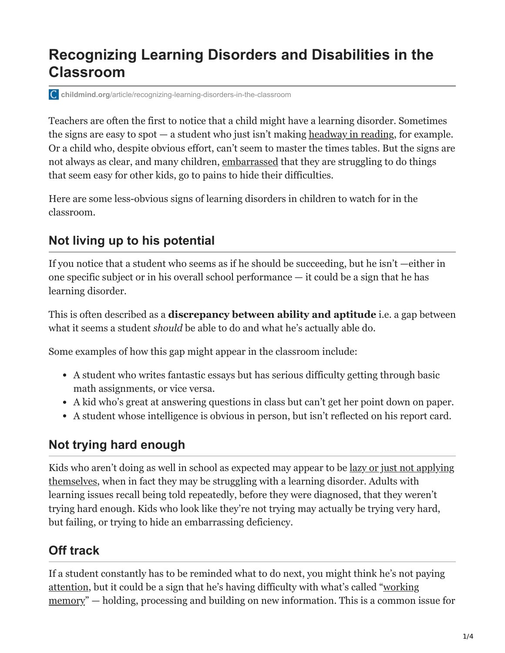# **Recognizing Learning Disorders and Disabilities in the Classroom**

**childmind.org**[/article/recognizing-learning-disorders-in-the-classroom](https://childmind.org/article/recognizing-learning-disorders-in-the-classroom/)

Teachers are often the first to notice that a child might have a learning disorder. Sometimes the signs are easy to spot — a student who just isn't making [headway in reading,](https://childmind.org/article/watching-and-helping-oliver-learn-to-read/) for example. Or a child who, despite obvious effort, can't seem to master the times tables. But the signs are not always as clear, and many children, [embarrassed](https://childmind.org/article/help-kids-deal-embarrassment/) that they are struggling to do things that seem easy for other kids, go to pains to hide their difficulties.

Here are some less-obvious signs of learning disorders in children to watch for in the classroom.

## **Not living up to his potential**

If you notice that a student who seems as if he should be succeeding, but he isn't —either in one specific subject or in his overall school performance — it could be a sign that he has learning disorder.

This is often described as a **discrepancy between ability and aptitude** i.e. a gap between what it seems a student *should* be able to do and what he's actually able do.

Some examples of how this gap might appear in the classroom include:

- A student who writes fantastic essays but has serious difficulty getting through basic math assignments, or vice versa.
- A kid who's great at answering questions in class but can't get her point down on paper.
- A student whose intelligence is obvious in person, but isn't reflected on his report card.

### **Not trying hard enough**

[Kids who aren't doing as well in school as expected may appear to be lazy or just not applying](https://childmind.org/article/how-to-help-your-child-get-motivated-in-school/) themselves, when in fact they may be struggling with a learning disorder. Adults with learning issues recall being told repeatedly, before they were diagnosed, that they weren't trying hard enough. Kids who look like they're not trying may actually be trying very hard, but failing, or trying to hide an embarrassing deficiency.

### **Off track**

If a student constantly has to be reminded what to do next, you might think he's not paying [attentio](https://childmind.org/topics/concerns/attention/)[n, but it could be a sign that he's having difficulty with what's called "working](http://childmind.org/article/what-is-working-memory/) memory" — holding, processing and building on new information. This is a common issue for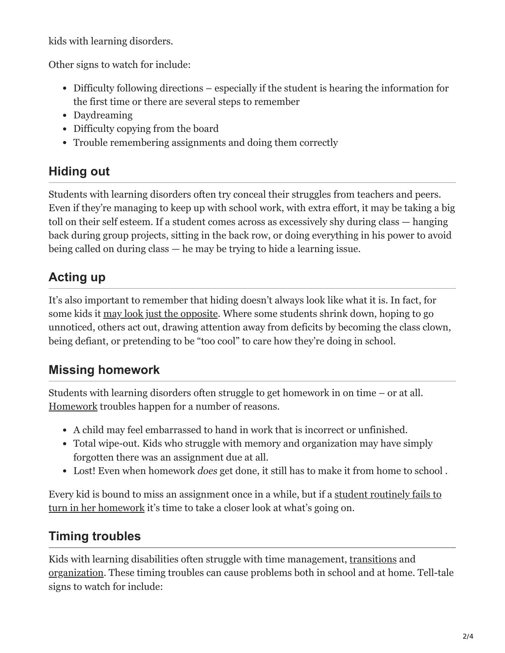kids with learning disorders.

Other signs to watch for include:

- Difficulty following directions especially if the student is hearing the information for the first time or there are several steps to remember
- Daydreaming
- Difficulty copying from the board
- Trouble remembering assignments and doing them correctly

## **Hiding out**

Students with learning disorders often try conceal their struggles from teachers and peers. Even if they're managing to keep up with school work, with extra effort, it may be taking a big toll on their self esteem. If a student comes across as excessively shy during class — hanging back during group projects, sitting in the back row, or doing everything in his power to avoid being called on during class — he may be trying to hide a learning issue.

## **Acting up**

It's also important to remember that hiding doesn't always look like what it is. In fact, for some kids it [may look just the opposite](https://childmind.org/article/breaking-behavior-code/). Where some students shrink down, hoping to go unnoticed, others act out, drawing attention away from deficits by becoming the class clown, being defiant, or pretending to be "too cool" to care how they're doing in school.

## **Missing homework**

Students with learning disorders often struggle to get homework in on time – or at all. [Homework](https://childmind.org/article/strategies-to-make-homework-go-more-smoothly/) troubles happen for a number of reasons.

- A child may feel embarrassed to hand in work that is incorrect or unfinished.
- Total wipe-out. Kids who struggle with memory and organization may have simply forgotten there was an assignment due at all.
- Lost! Even when homework *does* get done, it still has to make it from home to school .

[Every kid is bound to miss an assignment once in a while, but if a student routinely fails to](https://childmind.org/guide/a-teachers-guide-to-anxiety-in-the-classroom/not-turning-in-homework/) turn in her homework it's time to take a closer look at what's going on.

## **Timing troubles**

Kids with learning disabilities often struggle with time management, [transitions](https://childmind.org/article/why-do-kids-have-trouble-with-transitions/) and [organization.](https://childmind.org/topics/concerns/organizational-skills/) These timing troubles can cause problems both in school and at home. Tell-tale signs to watch for include: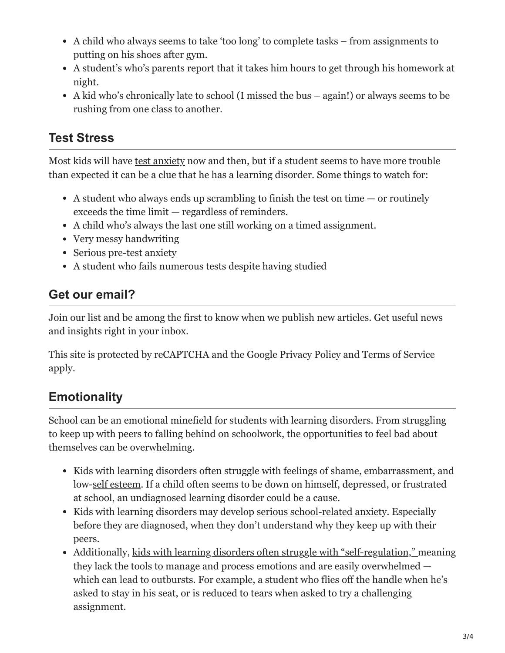- A child who always seems to take 'too long' to complete tasks from assignments to putting on his shoes after gym.
- A student's who's parents report that it takes him hours to get through his homework at night.
- A kid who's chronically late to school (I missed the bus again!) or always seems to be rushing from one class to another.

#### **Test Stress**

Most kids will have [test anxiety](http://childmind.org/article/tips-for-beating-test-anxiety/) now and then, but if a student seems to have more trouble than expected it can be a clue that he has a learning disorder. Some things to watch for:

- A student who always ends up scrambling to finish the test on time  $-$  or routinely exceeds the time limit — regardless of reminders.
- A child who's always the last one still working on a timed assignment.
- Very messy handwriting
- Serious pre-test anxiety
- A student who fails numerous tests despite having studied

#### **Get our email?**

Join our list and be among the first to know when we publish new articles. Get useful news and insights right in your inbox.

This site is protected by reCAPTCHA and the Google [Privacy Policy](https://policies.google.com/privacy) and [Terms of Service](https://policies.google.com/terms) apply.

## **Emotionality**

School can be an emotional minefield for students with learning disorders. From struggling to keep up with peers to falling behind on schoolwork, the opportunities to feel bad about themselves can be overwhelming.

- Kids with learning disorders often struggle with feelings of shame, embarrassment, and low[-self esteem.](https://childmind.org/topics/concerns/confidence-self-esteem/) If a child often seems to be down on himself, depressed, or frustrated at school, an undiagnosed learning disorder could be a cause.
- Kids with learning disorders may develop <u>serious school-related anxiety</u>. Especially before they are diagnosed, when they don't understand why they keep up with their peers.
- Additionally, [kids with learning disorders often struggle with "self-regulation," m](http://childmind.org/article/can-help-kids-self-regulation/)eaning they lack the tools to manage and process emotions and are easily overwhelmed which can lead to outbursts. For example, a student who flies off the handle when he's asked to stay in his seat, or is reduced to tears when asked to try a challenging assignment.